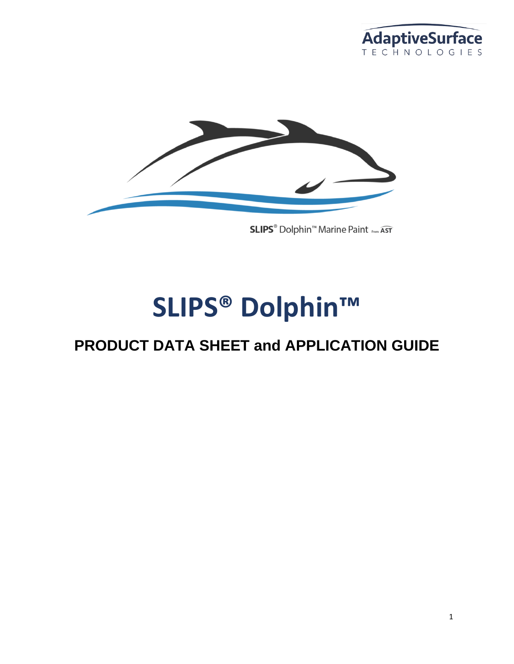



# **SLIPS® Dolphin™**

## **PRODUCT DATA SHEET and APPLICATION GUIDE**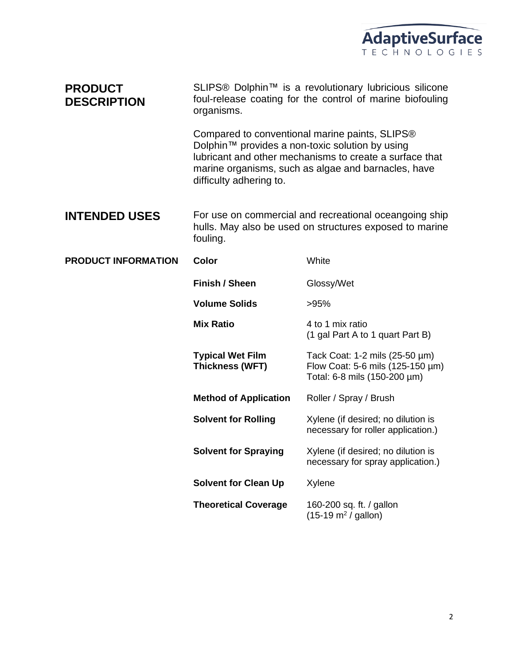

| <b>PRODUCT</b><br><b>DESCRIPTION</b> | SLIPS <sup>®</sup> Dolphin <sup>™</sup> is a revolutionary lubricious silicone<br>foul-release coating for the control of marine biofouling<br>organisms.                                                                                      |                                                                                                    |  |
|--------------------------------------|------------------------------------------------------------------------------------------------------------------------------------------------------------------------------------------------------------------------------------------------|----------------------------------------------------------------------------------------------------|--|
|                                      | Compared to conventional marine paints, SLIPS®<br>Dolphin™ provides a non-toxic solution by using<br>lubricant and other mechanisms to create a surface that<br>marine organisms, such as algae and barnacles, have<br>difficulty adhering to. |                                                                                                    |  |
| <b>INTENDED USES</b>                 | For use on commercial and recreational oceangoing ship<br>hulls. May also be used on structures exposed to marine<br>fouling.                                                                                                                  |                                                                                                    |  |
| <b>PRODUCT INFORMATION</b>           | <b>Color</b>                                                                                                                                                                                                                                   | White                                                                                              |  |
|                                      | Finish / Sheen                                                                                                                                                                                                                                 | Glossy/Wet                                                                                         |  |
|                                      | <b>Volume Solids</b>                                                                                                                                                                                                                           | >95%                                                                                               |  |
|                                      | <b>Mix Ratio</b>                                                                                                                                                                                                                               | 4 to 1 mix ratio<br>(1 gal Part A to 1 quart Part B)                                               |  |
|                                      | <b>Typical Wet Film</b><br><b>Thickness (WFT)</b>                                                                                                                                                                                              | Tack Coat: 1-2 mils (25-50 µm)<br>Flow Coat: 5-6 mils (125-150 µm)<br>Total: 6-8 mils (150-200 µm) |  |
|                                      | <b>Method of Application</b>                                                                                                                                                                                                                   | Roller / Spray / Brush                                                                             |  |
|                                      | <b>Solvent for Rolling</b>                                                                                                                                                                                                                     | Xylene (if desired; no dilution is<br>necessary for roller application.)                           |  |
|                                      | <b>Solvent for Spraying</b>                                                                                                                                                                                                                    | Xylene (if desired; no dilution is<br>necessary for spray application.)                            |  |
|                                      | <b>Solvent for Clean Up</b>                                                                                                                                                                                                                    | Xylene                                                                                             |  |
|                                      | <b>Theoretical Coverage</b>                                                                                                                                                                                                                    | 160-200 sq. ft. / gallon<br>$(15-19 \text{ m}^2 / \text{ gallon})$                                 |  |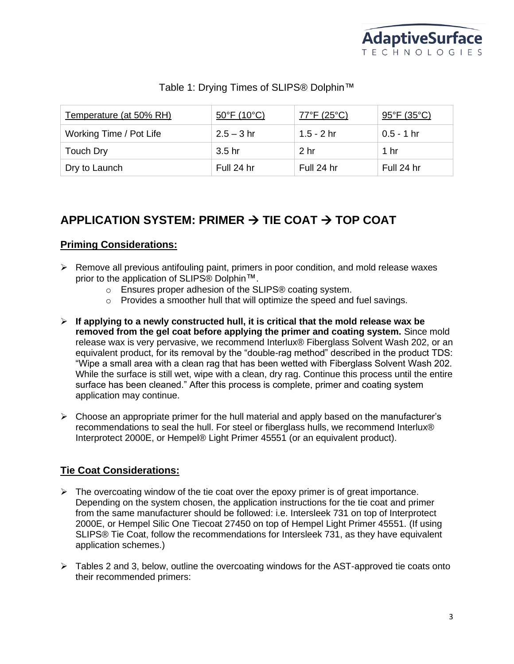

#### Table 1: Drying Times of SLIPS® Dolphin™

| Temperature (at 50% RH) | $50^{\circ}$ F (10 $^{\circ}$ C) | 77°F (25°C) | $95^{\circ}F(35^{\circ}C)$ |
|-------------------------|----------------------------------|-------------|----------------------------|
| Working Time / Pot Life | $2.5 - 3$ hr                     | 1.5 - 2 hr  | $0.5 - 1$ hr               |
| Touch Dry               | 3.5 hr                           | 2 hr        | 1 hr                       |
| Dry to Launch           | Full 24 hr                       | Full 24 hr  | Full 24 hr                 |

## **APPLICATION SYSTEM: PRIMER** → **TIE COAT** → **TOP COAT**

#### **Priming Considerations:**

- ➢ Remove all previous antifouling paint, primers in poor condition, and mold release waxes prior to the application of SLIPS® Dolphin™.
	- o Ensures proper adhesion of the SLIPS® coating system.
	- o Provides a smoother hull that will optimize the speed and fuel savings.
- ➢ **If applying to a newly constructed hull, it is critical that the mold release wax be removed from the gel coat before applying the primer and coating system.** Since mold release wax is very pervasive, we recommend Interlux® Fiberglass Solvent Wash 202, or an equivalent product, for its removal by the "double-rag method" described in the product TDS: "Wipe a small area with a clean rag that has been wetted with Fiberglass Solvent Wash 202. While the surface is still wet, wipe with a clean, dry rag. Continue this process until the entire surface has been cleaned." After this process is complete, primer and coating system application may continue.
- $\triangleright$  Choose an appropriate primer for the hull material and apply based on the manufacturer's recommendations to seal the hull. For steel or fiberglass hulls, we recommend Interlux® Interprotect 2000E, or Hempel® Light Primer 45551 (or an equivalent product).

#### **Tie Coat Considerations:**

- ➢ The overcoating window of the tie coat over the epoxy primer is of great importance. Depending on the system chosen, the application instructions for the tie coat and primer from the same manufacturer should be followed: i.e. Intersleek 731 on top of Interprotect 2000E, or Hempel Silic One Tiecoat 27450 on top of Hempel Light Primer 45551. (If using SLIPS® Tie Coat, follow the recommendations for Intersleek 731, as they have equivalent application schemes.)
- $\triangleright$  Tables 2 and 3, below, outline the overcoating windows for the AST-approved tie coats onto their recommended primers: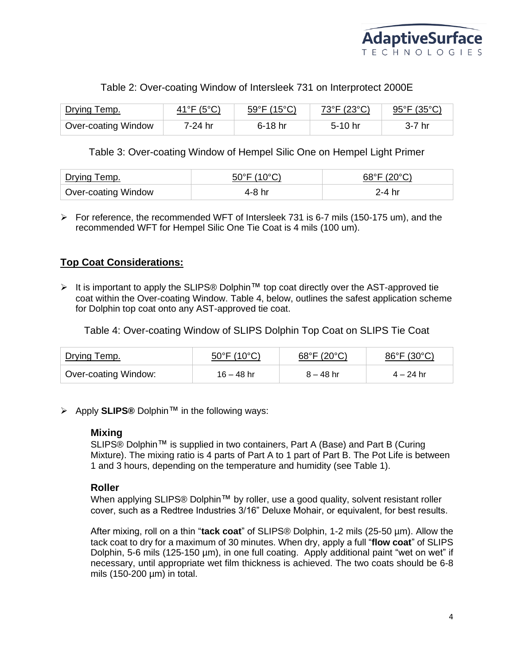

#### Table 2: Over-coating Window of Intersleek 731 on Interprotect 2000E

| Drying Temp.               | $\Delta$ 1°F (5°C) | $59^{\circ}F(15^{\circ}C)$ | 73°F (23°C) | $95^{\circ}$ F (35 $^{\circ}$ C) |
|----------------------------|--------------------|----------------------------|-------------|----------------------------------|
| <b>Over-coating Window</b> | 7-24 hr            | 6-18 hr                    | $5-10$ hr   | 7 hr                             |

#### Table 3: Over-coating Window of Hempel Silic One on Hempel Light Primer

| emp.                       |       |
|----------------------------|-------|
| <b>Over-coating Window</b> | -4 hr |

 $\triangleright$  For reference, the recommended WFT of Intersleek 731 is 6-7 mils (150-175 um), and the recommended WFT for Hempel Silic One Tie Coat is 4 mils (100 um).

#### **Top Coat Considerations:**

➢ It is important to apply the SLIPS® Dolphin™ top coat directly over the AST-approved tie coat within the Over-coating Window. Table 4, below, outlines the safest application scheme for Dolphin top coat onto any AST-approved tie coat.

Table 4: Over-coating Window of SLIPS Dolphin Top Coat on SLIPS Tie Coat

| Drying Temp.         | 50°F (10°C)  | $68^{\circ}$ F (20 $^{\circ}$ C) | 86°F (30°C) |
|----------------------|--------------|----------------------------------|-------------|
| Over-coating Window: | $16 - 48$ hr | $8 - 48$ hr                      | $4 - 24$ hr |

➢ Apply **SLIPS®** Dolphin™ in the following ways:

#### **Mixing**

SLIPS® Dolphin™ is supplied in two containers, Part A (Base) and Part B (Curing Mixture). The mixing ratio is 4 parts of Part A to 1 part of Part B. The Pot Life is between 1 and 3 hours, depending on the temperature and humidity (see Table 1).

#### **Roller**

When applying SLIPS® Dolphin™ by roller, use a good quality, solvent resistant roller cover, such as a Redtree Industries 3/16" Deluxe Mohair, or equivalent, for best results.

After mixing, roll on a thin "**tack coat**" of SLIPS® Dolphin, 1-2 mils (25-50 µm). Allow the tack coat to dry for a maximum of 30 minutes. When dry, apply a full "**flow coat**" of SLIPS Dolphin, 5-6 mils (125-150 µm), in one full coating. Apply additional paint "wet on wet" if necessary, until appropriate wet film thickness is achieved. The two coats should be 6-8 mils (150-200 µm) in total.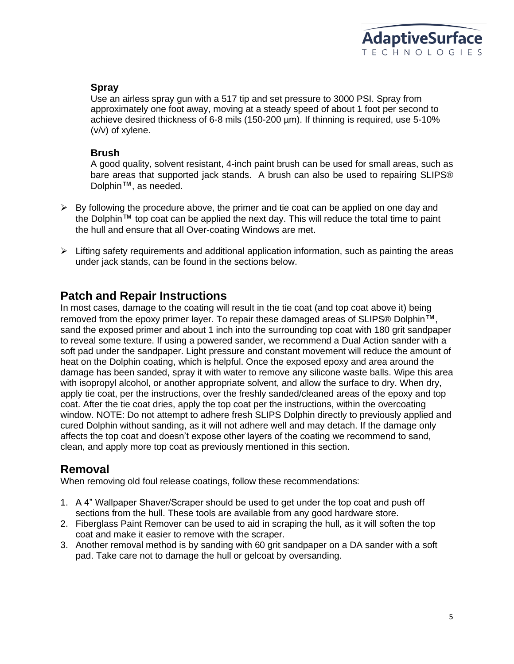

#### **Spray**

Use an airless spray gun with a 517 tip and set pressure to 3000 PSI. Spray from approximately one foot away, moving at a steady speed of about 1 foot per second to achieve desired thickness of 6-8 mils (150-200 µm). If thinning is required, use 5-10% (v/v) of xylene.

#### **Brush**

A good quality, solvent resistant, 4-inch paint brush can be used for small areas, such as bare areas that supported jack stands. A brush can also be used to repairing SLIPS® Dolphin™, as needed.

- $\triangleright$  By following the procedure above, the primer and tie coat can be applied on one day and the Dolphin™ top coat can be applied the next day. This will reduce the total time to paint the hull and ensure that all Over-coating Windows are met.
- $\triangleright$  Lifting safety requirements and additional application information, such as painting the areas under jack stands, can be found in the sections below.

#### **Patch and Repair Instructions**

In most cases, damage to the coating will result in the tie coat (and top coat above it) being removed from the epoxy primer layer. To repair these damaged areas of SLIPS® Dolphin<sup>™</sup>, sand the exposed primer and about 1 inch into the surrounding top coat with 180 grit sandpaper to reveal some texture. If using a powered sander, we recommend a Dual Action sander with a soft pad under the sandpaper. Light pressure and constant movement will reduce the amount of heat on the Dolphin coating, which is helpful. Once the exposed epoxy and area around the damage has been sanded, spray it with water to remove any silicone waste balls. Wipe this area with isopropyl alcohol, or another appropriate solvent, and allow the surface to dry. When dry, apply tie coat, per the instructions, over the freshly sanded/cleaned areas of the epoxy and top coat. After the tie coat dries, apply the top coat per the instructions, within the overcoating window. NOTE: Do not attempt to adhere fresh SLIPS Dolphin directly to previously applied and cured Dolphin without sanding, as it will not adhere well and may detach. If the damage only affects the top coat and doesn't expose other layers of the coating we recommend to sand, clean, and apply more top coat as previously mentioned in this section.

#### **Removal**

When removing old foul release coatings, follow these recommendations:

- 1. A 4" Wallpaper Shaver/Scraper should be used to get under the top coat and push off sections from the hull. These tools are available from any good hardware store.
- 2. Fiberglass Paint Remover can be used to aid in scraping the hull, as it will soften the top coat and make it easier to remove with the scraper.
- 3. Another removal method is by sanding with 60 grit sandpaper on a DA sander with a soft pad. Take care not to damage the hull or gelcoat by oversanding.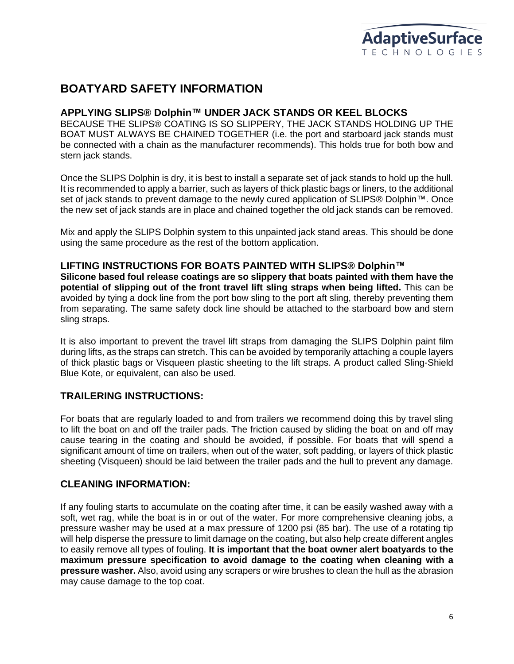## **BOATYARD SAFETY INFORMATION**

#### **APPLYING SLIPS® Dolphin™ UNDER JACK STANDS OR KEEL BLOCKS**

BECAUSE THE SLIPS® COATING IS SO SLIPPERY, THE JACK STANDS HOLDING UP THE BOAT MUST ALWAYS BE CHAINED TOGETHER (i.e. the port and starboard jack stands must be connected with a chain as the manufacturer recommends). This holds true for both bow and stern jack stands.

Once the SLIPS Dolphin is dry, it is best to install a separate set of jack stands to hold up the hull. It is recommended to apply a barrier, such as layers of thick plastic bags or liners, to the additional set of jack stands to prevent damage to the newly cured application of SLIPS® Dolphin™. Once the new set of jack stands are in place and chained together the old jack stands can be removed.

Mix and apply the SLIPS Dolphin system to this unpainted jack stand areas. This should be done using the same procedure as the rest of the bottom application.

#### **LIFTING INSTRUCTIONS FOR BOATS PAINTED WITH SLIPS® Dolphin™**

**Silicone based foul release coatings are so slippery that boats painted with them have the potential of slipping out of the front travel lift sling straps when being lifted.** This can be avoided by tying a dock line from the port bow sling to the port aft sling, thereby preventing them from separating. The same safety dock line should be attached to the starboard bow and stern sling straps.

It is also important to prevent the travel lift straps from damaging the SLIPS Dolphin paint film during lifts, as the straps can stretch. This can be avoided by temporarily attaching a couple layers of thick plastic bags or Visqueen plastic sheeting to the lift straps. A product called Sling-Shield Blue Kote, or equivalent, can also be used.

#### **TRAILERING INSTRUCTIONS:**

For boats that are regularly loaded to and from trailers we recommend doing this by travel sling to lift the boat on and off the trailer pads. The friction caused by sliding the boat on and off may cause tearing in the coating and should be avoided, if possible. For boats that will spend a significant amount of time on trailers, when out of the water, soft padding, or layers of thick plastic sheeting (Visqueen) should be laid between the trailer pads and the hull to prevent any damage.

#### **CLEANING INFORMATION:**

If any fouling starts to accumulate on the coating after time, it can be easily washed away with a soft, wet rag, while the boat is in or out of the water. For more comprehensive cleaning jobs, a pressure washer may be used at a max pressure of 1200 psi (85 bar). The use of a rotating tip will help disperse the pressure to limit damage on the coating, but also help create different angles to easily remove all types of fouling. **It is important that the boat owner alert boatyards to the maximum pressure specification to avoid damage to the coating when cleaning with a pressure washer.** Also, avoid using any scrapers or wire brushes to clean the hull as the abrasion may cause damage to the top coat.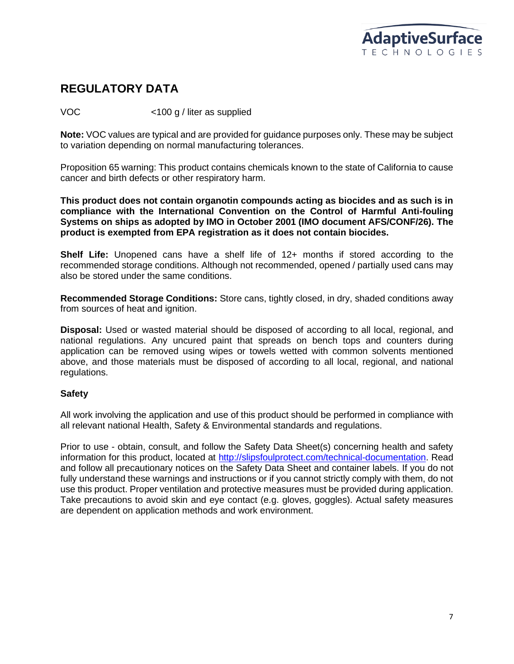

## **REGULATORY DATA**

VOC <100 g / liter as supplied

**Note:** VOC values are typical and are provided for guidance purposes only. These may be subject to variation depending on normal manufacturing tolerances.

Proposition 65 warning: This product contains chemicals known to the state of California to cause cancer and birth defects or other respiratory harm.

**This product does not contain organotin compounds acting as biocides and as such is in compliance with the International Convention on the Control of Harmful Anti-fouling Systems on ships as adopted by IMO in October 2001 (IMO document AFS/CONF/26). The product is exempted from EPA registration as it does not contain biocides.**

**Shelf Life:** Unopened cans have a shelf life of 12+ months if stored according to the recommended storage conditions. Although not recommended, opened / partially used cans may also be stored under the same conditions.

**Recommended Storage Conditions:** Store cans, tightly closed, in dry, shaded conditions away from sources of heat and ignition.

**Disposal:** Used or wasted material should be disposed of according to all local, regional, and national regulations. Any uncured paint that spreads on bench tops and counters during application can be removed using wipes or towels wetted with common solvents mentioned above, and those materials must be disposed of according to all local, regional, and national regulations.

#### **Safety**

All work involving the application and use of this product should be performed in compliance with all relevant national Health, Safety & Environmental standards and regulations.

Prior to use - obtain, consult, and follow the Safety Data Sheet(s) concerning health and safety information for this product, located at [http://slipsfoulprotect.com/technical-documentation.](http://slipsfoulprotect.com/technical-documentation) Read and follow all precautionary notices on the Safety Data Sheet and container labels. If you do not fully understand these warnings and instructions or if you cannot strictly comply with them, do not use this product. Proper ventilation and protective measures must be provided during application. Take precautions to avoid skin and eye contact (e.g. gloves, goggles). Actual safety measures are dependent on application methods and work environment.